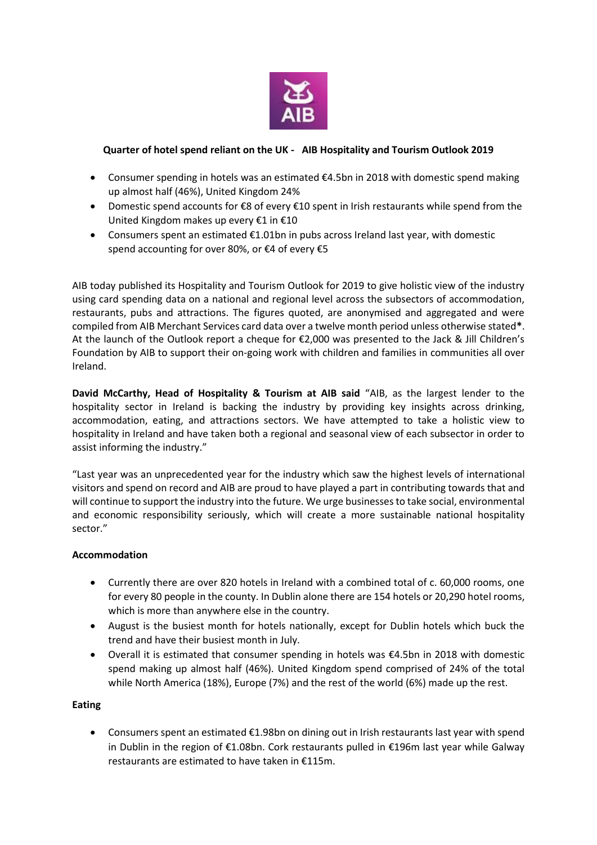

# **Quarter of hotel spend reliant on the UK - AIB Hospitality and Tourism Outlook 2019**

- Consumer spending in hotels was an estimated  $\epsilon$ 4.5bn in 2018 with domestic spend making up almost half (46%), United Kingdom 24%
- Domestic spend accounts for €8 of every €10 spent in Irish restaurants while spend from the United Kingdom makes up every €1 in €10
- Consumers spent an estimated €1.01bn in pubs across Ireland last year, with domestic spend accounting for over 80%, or €4 of every €5

AIB today published its Hospitality and Tourism Outlook for 2019 to give holistic view of the industry using card spending data on a national and regional level across the subsectors of accommodation, restaurants, pubs and attractions. The figures quoted, are anonymised and aggregated and were compiled from AIB Merchant Services card data over a twelve month period unless otherwise stated**\***. At the launch of the Outlook report a cheque for €2,000 was presented to the Jack & Jill Children's Foundation by AIB to support their on-going work with children and families in communities all over Ireland.

**David McCarthy, Head of Hospitality & Tourism at AIB said** "AIB, as the largest lender to the hospitality sector in Ireland is backing the industry by providing key insights across drinking, accommodation, eating, and attractions sectors. We have attempted to take a holistic view to hospitality in Ireland and have taken both a regional and seasonal view of each subsector in order to assist informing the industry."

"Last year was an unprecedented year for the industry which saw the highest levels of international visitors and spend on record and AIB are proud to have played a part in contributing towards that and will continue to support the industry into the future. We urge businesses to take social, environmental and economic responsibility seriously, which will create a more sustainable national hospitality sector."

# **Accommodation**

- Currently there are over 820 hotels in Ireland with a combined total of c. 60,000 rooms, one for every 80 people in the county. In Dublin alone there are 154 hotels or 20,290 hotel rooms, which is more than anywhere else in the country.
- August is the busiest month for hotels nationally, except for Dublin hotels which buck the trend and have their busiest month in July.
- Overall it is estimated that consumer spending in hotels was €4.5bn in 2018 with domestic spend making up almost half (46%). United Kingdom spend comprised of 24% of the total while North America (18%), Europe (7%) and the rest of the world (6%) made up the rest.

# **Eating**

 Consumers spent an estimated €1.98bn on dining out in Irish restaurants last year with spend in Dublin in the region of €1.08bn. Cork restaurants pulled in €196m last year while Galway restaurants are estimated to have taken in €115m.